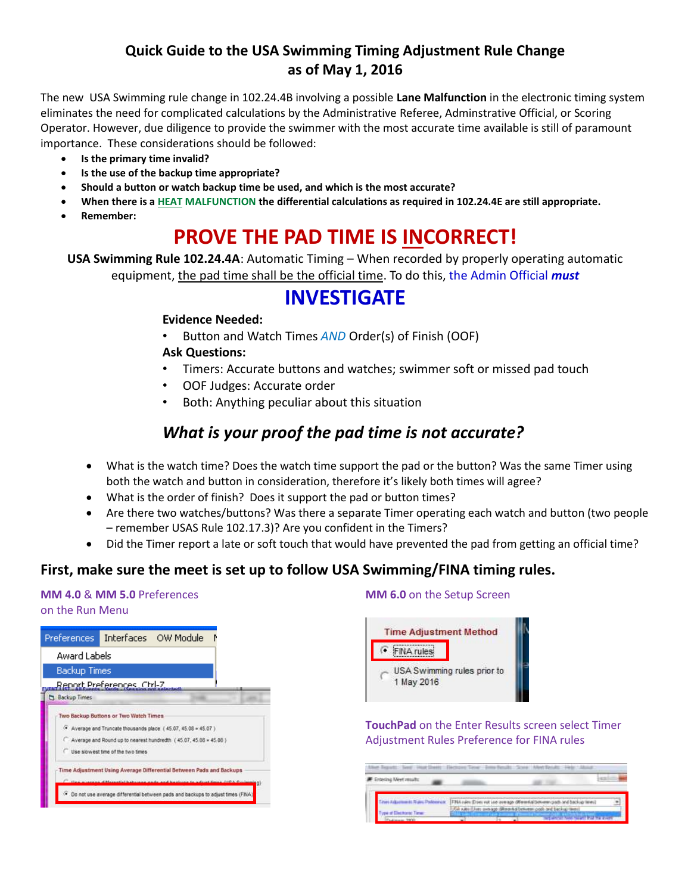### **Quick Guide to the USA Swimming Timing Adjustment Rule Change as of May 1, 2016**

The new USA Swimming rule change in 102.24.4B involving a possible **Lane Malfunction** in the electronic timing system eliminates the need for complicated calculations by the Administrative Referee, Adminstrative Official, or Scoring Operator. However, due diligence to provide the swimmer with the most accurate time available is still of paramount importance. These considerations should be followed:

- **Is the primary time invalid?**
- **Is the use of the backup time appropriate?**
- **Should a button or watch backup time be used, and which is the most accurate?**
- **When there is a HEAT MALFUNCTION the differential calculations as required in 102.24.4E are still appropriate.**
- **Remember:**

# **PROVE THE PAD TIME IS INCORRECT!**

**USA Swimming Rule 102.24.4A**: Automatic Timing – When recorded by properly operating automatic equipment, the pad time shall be the official time. To do this, the Admin Official *must*

## **INVESTIGATE**

#### **Evidence Needed:**

• Button and Watch Times *AND* Order(s) of Finish (OOF)

#### **Ask Questions:**

- Timers: Accurate buttons and watches; swimmer soft or missed pad touch
- OOF Judges: Accurate order
- Both: Anything peculiar about this situation

## *What is your proof the pad time is not accurate?*

- What is the watch time? Does the watch time support the pad or the button? Was the same Timer using both the watch and button in consideration, therefore it's likely both times will agree?
- What is the order of finish? Does it support the pad or button times?
- Are there two watches/buttons? Was there a separate Timer operating each watch and button (two people – remember USAS Rule 102.17.3)? Are you confident in the Timers?
- Did the Timer report a late or soft touch that would have prevented the pad from getting an official time?

### **First, make sure the meet is set up to follow USA Swimming/FINA timing rules.**

#### **MM 4.0** & **MM 5.0** Preferences on the Run Menu



#### **MM 6.0** on the Setup Screen



**TouchPad** on the Enter Results screen select Timer Adjustment Rules Preference for FINA rules